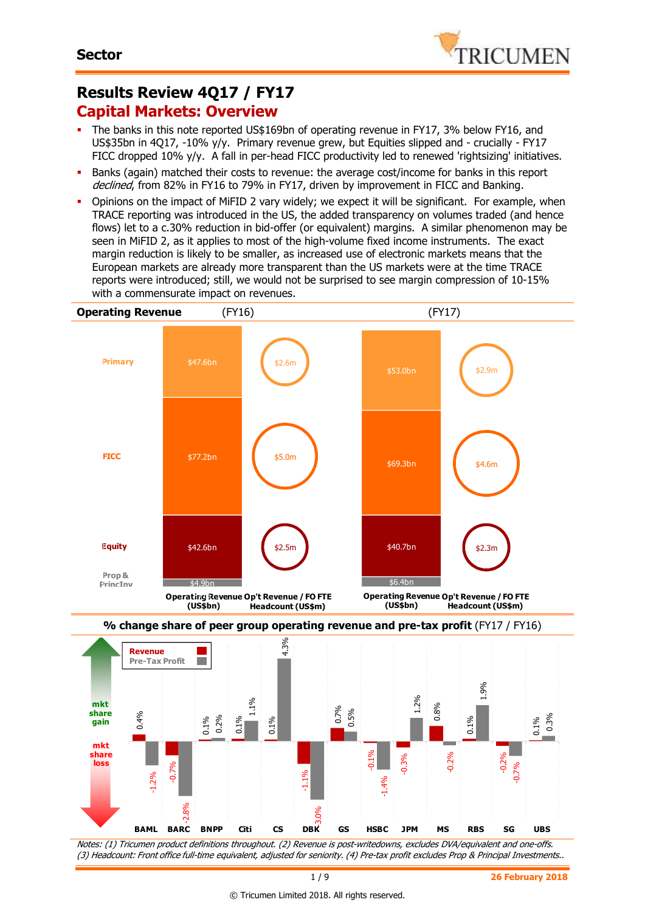

## **Results Review 4Q17 / FY17 Capital Markets: Overview**

- The banks in this note reported US\$169bn of operating revenue in FY17, 3% below FY16, and US\$35bn in 4Q17, -10% y/y. Primary revenue grew, but Equities slipped and - crucially - FY17 FICC dropped 10% y/y. A fall in per-head FICC productivity led to renewed 'rightsizing' initiatives.
- Banks (again) matched their costs to revenue: the average cost/income for banks in this report declined, from 82% in FY16 to 79% in FY17, driven by improvement in FICC and Banking.
- Opinions on the impact of MiFID 2 vary widely; we expect it will be significant. For example, when TRACE reporting was introduced in the US, the added transparency on volumes traded (and hence flows) let to a c.30% reduction in bid-offer (or equivalent) margins. A similar phenomenon may be seen in MiFID 2, as it applies to most of the high-volume fixed income instruments. The exact margin reduction is likely to be smaller, as increased use of electronic markets means that the European markets are already more transparent than the US markets were at the time TRACE reports were introduced; still, we would not be surprised to see margin compression of 10-15% with a commensurate impact on revenues.



Notes: (1) Tricumen product definitions throughout. (2) Revenue is post-writedowns, excludes DVA/equivalent and one-offs. (3) Headcount: Front office full-time equivalent, adjusted for seniority. (4) Pre-tax profit excludes Prop & Principal Investments..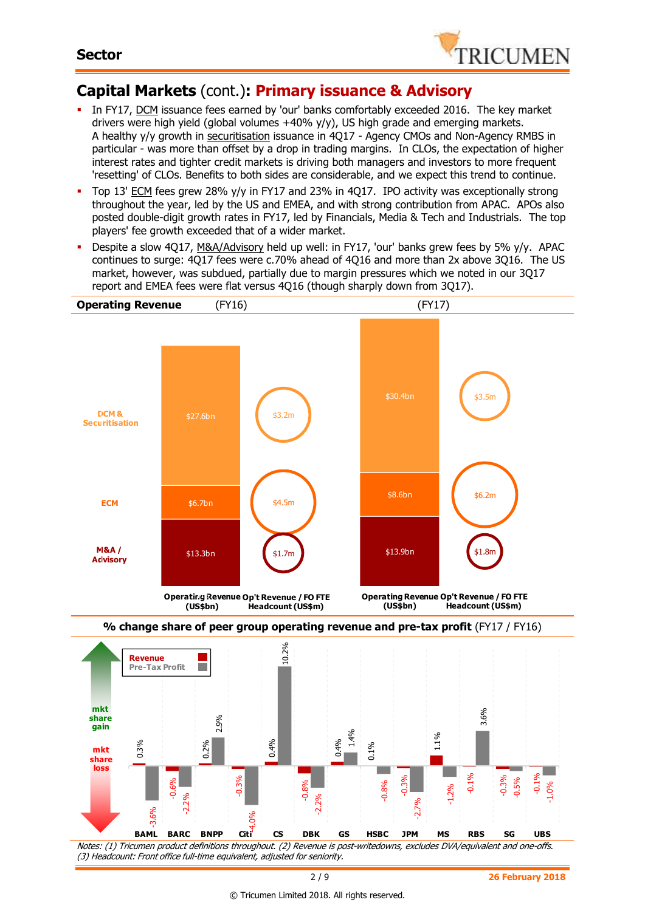

# **Capital Markets** (cont.)**: Primary issuance & Advisory**

- In FY17, DCM issuance fees earned by 'our' banks comfortably exceeded 2016. The key market drivers were high yield (global volumes  $+40\%$  y/y), US high grade and emerging markets. A healthy y/y growth in securitisation issuance in 4Q17 - Agency CMOs and Non-Agency RMBS in particular - was more than offset by a drop in trading margins. In CLOs, the expectation of higher interest rates and tighter credit markets is driving both managers and investors to more frequent 'resetting' of CLOs. Benefits to both sides are considerable, and we expect this trend to continue.
- Top 13' ECM fees grew 28% y/y in FY17 and 23% in 4Q17. IPO activity was exceptionally strong throughout the year, led by the US and EMEA, and with strong contribution from APAC. APOs also posted double-digit growth rates in FY17, led by Financials, Media & Tech and Industrials. The top players' fee growth exceeded that of a wider market.
- Despite a slow 4Q17, M&A/Advisory held up well: in FY17, 'our' banks grew fees by 5% y/y. APAC continues to surge: 4Q17 fees were c.70% ahead of 4Q16 and more than 2x above 3Q16. The US market, however, was subdued, partially due to margin pressures which we noted in our 3Q17 report and EMEA fees were flat versus 4Q16 (though sharply down from 3Q17).



Notes: (1) Tricumen product definitions throughout. (2) Revenue is post-writedowns, excludes DVA/equivalent and one-offs. (3) Headcount: Front office full-time equivalent, adjusted for seniority. **BAML BARC BNPP Citi CS DBK GS HSBC JPM MS RBS SG UBS**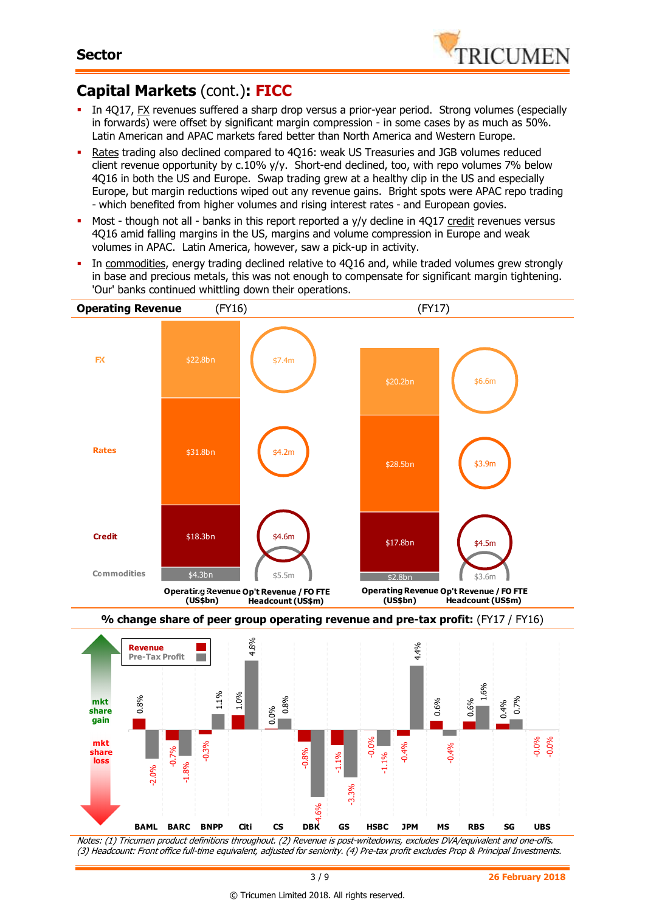

#### **Capital Markets** (cont.)**: FICC**

- In 4Q17, **FX** revenues suffered a sharp drop versus a prior-year period. Strong volumes (especially in forwards) were offset by significant margin compression - in some cases by as much as 50%. Latin American and APAC markets fared better than North America and Western Europe.
- Rates trading also declined compared to 4Q16: weak US Treasuries and JGB volumes reduced client revenue opportunity by c.10% y/y. Short-end declined, too, with repo volumes 7% below 4Q16 in both the US and Europe. Swap trading grew at a healthy clip in the US and especially Europe, but margin reductions wiped out any revenue gains. Bright spots were APAC repo trading - which benefited from higher volumes and rising interest rates - and European govies.
- Most though not all banks in this report reported a y/y decline in 4017 credit revenues versus 4Q16 amid falling margins in the US, margins and volume compression in Europe and weak volumes in APAC. Latin America, however, saw a pick-up in activity.
- In commodities, energy trading declined relative to 4Q16 and, while traded volumes grew strongly in base and precious metals, this was not enough to compensate for significant margin tightening. 'Our' banks continued whittling down their operations.



Notes: (1) Tricumen product definitions throughout. (2) Revenue is post-writedowns, excludes DVA/equivalent and one-offs. (3) Headcount: Front office full-time equivalent, adjusted for seniority. (4) Pre-tax profit excludes Prop & Principal Investments.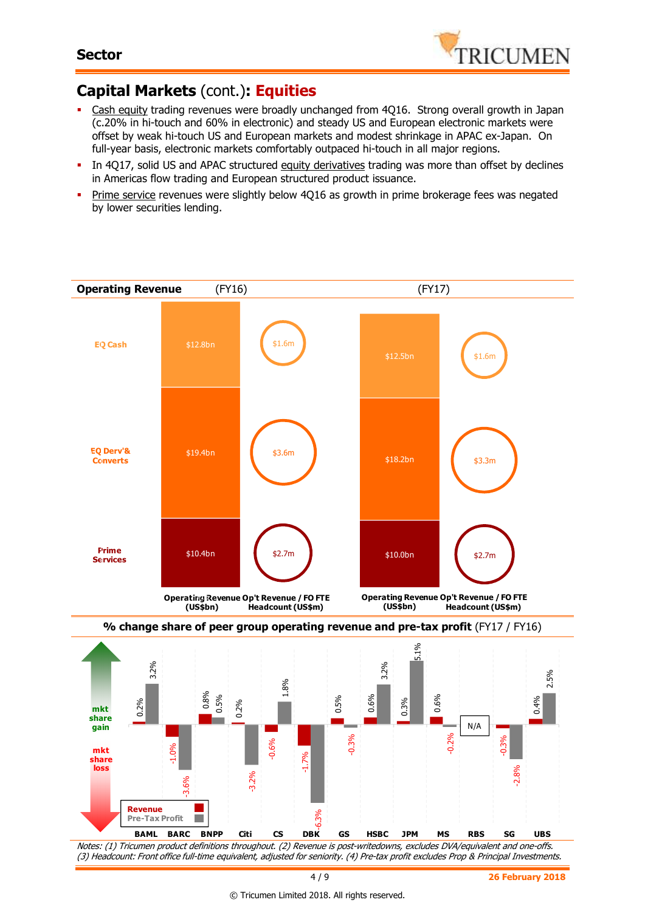

## **Capital Markets** (cont.)**: Equities**

- Cash equity trading revenues were broadly unchanged from 4Q16. Strong overall growth in Japan (c.20% in hi-touch and 60% in electronic) and steady US and European electronic markets were offset by weak hi-touch US and European markets and modest shrinkage in APAC ex-Japan. On full-year basis, electronic markets comfortably outpaced hi-touch in all major regions.
- In 4Q17, solid US and APAC structured equity derivatives trading was more than offset by declines in Americas flow trading and European structured product issuance.
- Prime service revenues were slightly below 4Q16 as growth in prime brokerage fees was negated by lower securities lending.





(3) Headcount: Front office full-time equivalent, adjusted for seniority. (4) Pre-tax profit excludes Prop & Principal Investments.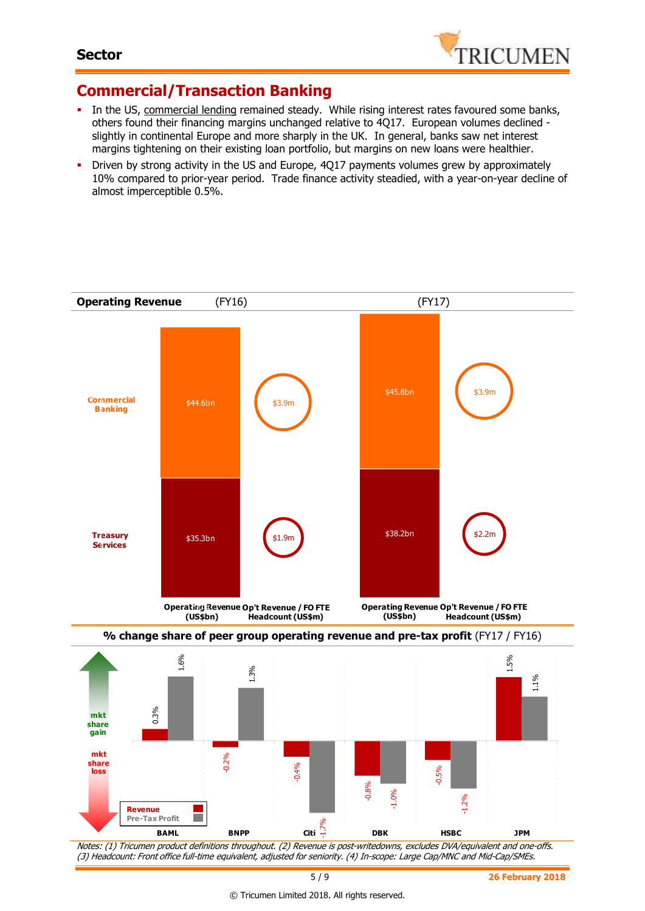

#### **Commercial/Transaction Banking**

- In the US, commercial lending remained steady. While rising interest rates favoured some banks, others found their financing margins unchanged relative to 4Q17. European volumes declined slightly in continental Europe and more sharply in the UK. In general, banks saw net interest margins tightening on their existing loan portfolio, but margins on new loans were healthier.
- Driven by strong activity in the US and Europe, 4Q17 payments volumes grew by approximately 10% compared to prior-year period. Trade finance activity steadied, with a year-on-year decline of almost imperceptible 0.5%.



5 / 9 **26 February 2018**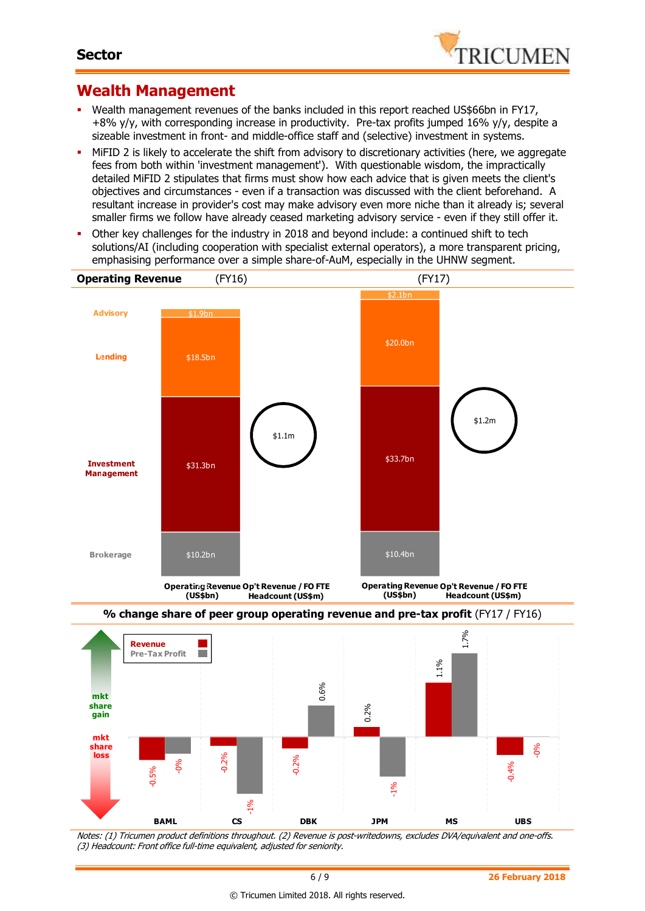

#### **Wealth Management**

- Wealth management revenues of the banks included in this report reached US\$66bn in FY17, +8% y/y, with corresponding increase in productivity. Pre-tax profits jumped 16% y/y, despite a sizeable investment in front- and middle-office staff and (selective) investment in systems.
- MiFID 2 is likely to accelerate the shift from advisory to discretionary activities (here, we aggregate fees from both within 'investment management'). With questionable wisdom, the impractically detailed MiFID 2 stipulates that firms must show how each advice that is given meets the client's objectives and circumstances - even if a transaction was discussed with the client beforehand. A resultant increase in provider's cost may make advisory even more niche than it already is; several smaller firms we follow have already ceased marketing advisory service - even if they still offer it.
- Other key challenges for the industry in 2018 and beyond include: a continued shift to tech solutions/AI (including cooperation with specialist external operators), a more transparent pricing, emphasising performance over a simple share-of-AuM, especially in the UHNW segment.



Notes: (1) Tricumen product definitions throughout. (2) Revenue is post-writedowns, excludes DVA/equivalent and one-offs. (3) Headcount: Front office full-time equivalent, adjusted for seniority.

-1%

-0.015

**BAML CS DBK JPM MS UBS**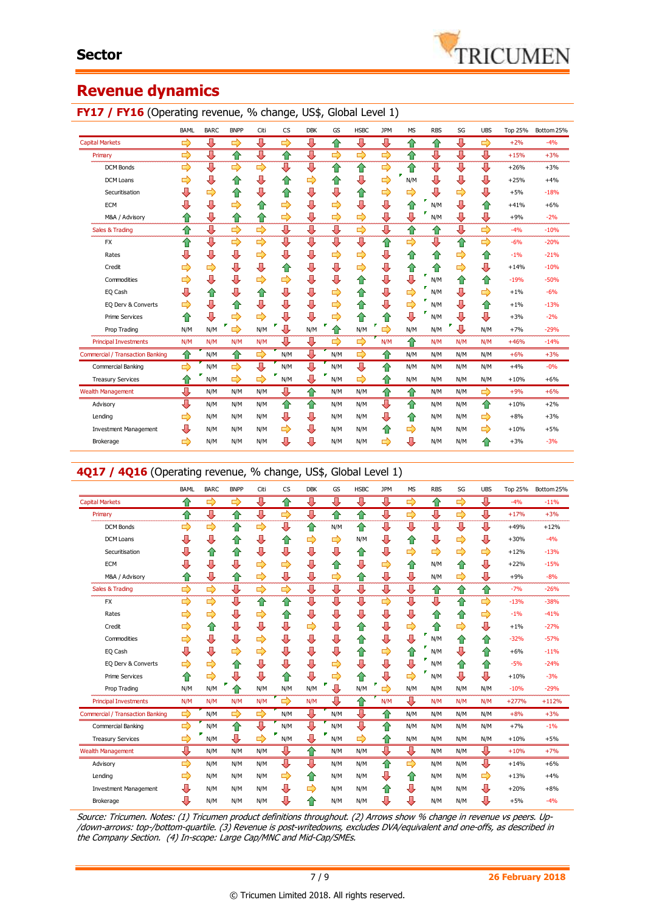

#### **Revenue dynamics**

#### **FY17 / FY16** (Operating revenue, % change, US\$, Global Level 1)

|                                         | <b>BAML</b> | BARC. | <b>BNPP</b>   | Citi          | <b>CS</b> | <b>DBK</b> | GS  | <b>HSBC</b> | <b>JPM</b> | <b>MS</b> | <b>RBS</b> | SG  | <b>UBS</b> | <b>Top 25%</b> | Bottom 25% |
|-----------------------------------------|-------------|-------|---------------|---------------|-----------|------------|-----|-------------|------------|-----------|------------|-----|------------|----------------|------------|
| <b>Capital Markets</b>                  | ⇨           | ⊕     | ⇨             | ⇩             | ⇨         | ⇩          | ⇧   | ⊕           | ⊕          | ⇧         | ⇮          | ⊕   | ⇨          | $+2%$          | $-4%$      |
| Primary                                 | ⇨           | ⇩     | ⇧             | ⇩             | ⇧         | ⇩          | ⇨   | ⇨           | ⇨          | ⇧         | ⇩          | ⇩   | ⇩          | $+15%$         | $+3%$      |
| <b>DCM Bonds</b>                        | ⇨           | ⊕     | ⇨             | $\Rightarrow$ | ⊕         | ⇩          | ⇧   | ⇧           | ⇨          | ⇧         | ⊕          | ⊕   | ⊕          | $+26%$         | $+3%$      |
| <b>DCM Loans</b>                        | ⇨           | ⇩     | ⇧             | ⇩             | n         | ⇨          | €   | ⇩           | ⇨          | N/M       | ⇩          | ⇩   | ⇩          | $+25%$         | $+4%$      |
| Securitisation                          | ⇩           | ⇨     | ⇧             | ⇩             | ⇑         | ⇩          | ⇩   | ⇧           | ⇨          | ⇨         | ⇩          | ⇨   | ⇩          | $+5%$          | $-18%$     |
| <b>ECM</b>                              | U           | ⇩     | ⇨             | ⇧             | ⇨         | ⇩          | ⇨   | ⇩           | ⇩          | ⇧         | г<br>N/M   | ⇩   | ⇧          | $+41%$         | $+6%$      |
| M&A / Advisory                          | ⇧           | ⇩     | ⇧             | ⇧             | ⇨         | ⇩          | ⇨   | ⇨           | ⇩          | ⇩         | ×<br>N/M   | ⇩   | ⇩          | $+9%$          | $-2%$      |
| Sales & Trading                         | ⇑           | ⇩     | $\Rightarrow$ | $\Rightarrow$ | ⇩         | ⇩          | ⇩   | ⇨           | ⇩          | ⇧         | ⇑          | ⇩   | ⇨          | $-4%$          | $-10%$     |
| <b>FX</b>                               | ⇑           | ⊕     | 母             | $\Rightarrow$ | ⇩         | ⇩          | ⇩   | ⇩           | ⇧          | ⇨         | ⇩          | ⇧   | ⇨          | $-6%$          | $-20%$     |
| Rates                                   | ⇩           | ⇩     | ⇩             | ⇨             | ⇩         | ⇩          | ⇨   | ⇨           | ⇩          | ⇧         | ⇑          | ⇨   | ⇮          | $-1%$          | $-21%$     |
| Credit                                  | ⇨           | ⇨     | ⇩             | ⇩             | ⇑         | ⇩          | ⇩   | ⇨           | ⇩          | ⇧         | ⇑          | ⇨   | ⇩          | $+14%$         | $-10%$     |
| Commodities                             | ⇨           | ⇩     | ⇩             | ⇨             | ⇨         | ⇩          | ⇩   | ⇧           | ⇩          | ⇩         | N/M        | ⇧   | ⇧          | $-19%$         | $-50%$     |
| EQ Cash                                 | ⇩           | ⇧     | ⇩             | ⇧             | ⇩         | ⇩          | ⇨   | ⇧           | ⇩          | ⇨         | г<br>N/M   | ⇩   | ⇨          | $+1%$          | $-6%$      |
| EQ Derv & Converts                      | ⇨           | ⇩     | ⇧             | ⇩             | ⊕         | ⇩          | ⇨   | ⇑           | ⇩          | ⇨         | N/M        | ⇩   | ⇧          | $+1%$          | $-13%$     |
| <b>Prime Services</b>                   | ⇑           | ⇩     | ⇨             | ⇨             | ⊕         | ⊕          | ⇨   | ⇧           | ⇧          | ⇩         | N/M        | ⇩   | ⊕          | $+3%$          | $-2%$      |
| Prop Trading                            | N/M         | N/M   | F<br>⇨        | N/M           | Ŧ<br>Д    | N/M        | Ĥ   | N/M         | г<br>⇨     | N/M       | N/M        | ⇩   | N/M        | $+7%$          | $-29%$     |
| <b>Principal Investments</b>            | N/M         | N/M   | N/M           | N/M           | ⇩         | ⊕          | ⇨   | ⇨           | N/M        | ⇧         | N/M        | N/M | N/M        | $+46%$         | $-14%$     |
| <b>Commercial / Transaction Banking</b> | ✿           | N/M   | ⇧             | ⇨             | N/M       | ⊕          | N/M | ⇨           | ⇧          | N/M       | N/M        | N/M | N/M        | $+6%$          | $+3%$      |
| Commercial Banking                      | ➡           | N/M   | ⇨             |               | N/M       | ⇩          | N/M | ⊕           | ⇑          | N/M       | N/M        | N/M | N/M        | $+4%$          | $-0%$      |
| <b>Treasury Services</b>                |             | N/M   | ⇨             | ⇨             | ç<br>N/M  | ⊕          | N/M | ⇨           | ⇑          | N/M       | N/M        | N/M | N/M        | $+10%$         | $+6%$      |
| <b>Wealth Management</b>                | ⇩           | N/M   | N/M           | N/M           | ⇩         | ⇧          | N/M | N/M         | ⇧          | ⇧         | N/M        | N/M | ⇨          | $+9%$          | $+6%$      |
| Advisory                                | ⇩           | N/M   | N/M           | N/M           | ⇧         | ⇧          | N/M | N/M         | ⇩          | ⇧         | N/M        | N/M | ⇧          | $+10%$         | $+2%$      |
| Lending                                 | ⇨           | N/M   | N/M           | N/M           | ⊕         | ⇩          | N/M | N/M         | ⇩          | ⇧         | N/M        | N/M | ⇨          | $+8%$          | $+3%$      |
| <b>Investment Management</b>            | ⊕           | N/M   | N/M           | N/M           | ⇨         | ⊕          | N/M | N/M         | ⇧          | ⇨         | N/M        | N/M | ⇨          | $+10%$         | $+5%$      |
| Brokerage                               | ⇨           | N/M   | N/M           | N/M           | ⊕         | ⇩          | N/M | N/M         | ⇨          | ⇩         | N/M        | N/M | ⇑          | $+3%$          | $-3%$      |

#### **4Q17 / 4Q16** (Operating revenue, % change, US\$, Global Level 1)

|                                         | BAML | <b>BARC</b>   | <b>BNPP</b>   | Citi          | <b>CS</b> | <b>DBK</b>    | GS  | <b>HSBC</b> | <b>JPM</b>    | <b>MS</b>     | <b>RBS</b> | SG            | <b>UBS</b>    | Top 25% | Bottom 25% |
|-----------------------------------------|------|---------------|---------------|---------------|-----------|---------------|-----|-------------|---------------|---------------|------------|---------------|---------------|---------|------------|
| <b>Capital Markets</b>                  | ✿    | ⇨             | $\Rightarrow$ | ⊕             | 合         | ⇩             | ⊕   | ⊕           | ⊕             | ⇨             | ⇮          | $\Rightarrow$ | ⊕             | $-4%$   | $-11%$     |
| Primary                                 | ⇑    | ⇩             | ⇧             | ⊕             | ⇨         | ⇩             | 合   | ✿           | ⇩             | ⇨             | ⇩          | ⇨             | ⇩             | $+17%$  | $+3%$      |
| <b>DCM Bonds</b>                        | ⇨    | ⇨             | ⇧             | ⇨             | ⇩         | ⇧             | N/M | ⇧           | ⇩             | ⊕             | ⇩          | ⊕             | ⇩             | $+49%$  | $+12%$     |
| <b>DCM Loans</b>                        | ⇩    | ⇩             | ⇧             | ⇩             | ⇧         | ⇨             | ⇨   | N/M         | ⇩             | ⇧             | ⇩          | ⇨             | ⇩             | $+30%$  | $-4%$      |
| Securitisation                          | ⇩    | ⇧             | ⇧             | ⇩             | ⇩         | ⇩             | ⊕   | €           | ⇩             | ⇨             | ⇨          | ⇨             | $\Rightarrow$ | $+12%$  | $-13%$     |
| <b>ECM</b>                              | U    | ⇩             | ⇩             | ⇨             | ⇨         | ⇩             | ⇧   | ⇩           | $\Rightarrow$ | ⇧             | N/M        | ⇧             | ⇩             | $+22%$  | $-15%$     |
| M&A / Advisory                          | ⇧    | ⇩             | ⇧             | ⇨             | ⇩         | ⇩             | ⇨   | ✿           | ⇩             | ⇩             | N/M        | ⇨             | ⇩             | $+9%$   | $-8%$      |
| Sales & Trading                         | ⇨    | $\Rightarrow$ | ⇩             | $\Rightarrow$ | ⇨         | ⇩             | ⊕   | ⇩           | ⇩             | ⇩             | ⇑          | ⇧             | 슙             | $-7%$   | $-26%$     |
| <b>FX</b>                               | ⇨    | ⋑             | ⊕             | ⇧             | ⇧         | ∪             | ⇩   | ण           | ⇨             | ⇩             | ⇩          | ⇧             | ⇨             | $-13%$  | $-38%$     |
| Rates                                   | ⇨    | ⇨             | ⇩             | $\Rightarrow$ | ⇧         | ⇩             | ⇩   | ⇩           | ⇩             | ⇩             | ⇮          | ⇧             | ⇨             | $-1%$   | $-41%$     |
| Credit                                  | ⇨    | ⇧             | ⇩             | ⇩             | ⇩         | ⇨             | ⇩   | ⇧           | ⇩             | ⇨             | ⇮          | ⇨             | ⇩             | $+1%$   | $-27%$     |
| Commodities                             | ⇨    | ⇩             | ⇩             | ⇨             | ⇩         | ⇩             | ⇩   | ⇧           | ⇩             | ⇩             | N/M        | ⇧             | ⇮             | $-32%$  | $-57%$     |
| EQ Cash                                 | J    | ⇩             | ⇨             | $\Rightarrow$ | ⇩         | ⇩             | U   | ⇧           | ⇨             | ⇧             | N/M        | ⇩             | 合             | $+6%$   | $-11%$     |
| EQ Derv & Converts                      | ⇨    | $\Rightarrow$ | 合             | ⇩             | ⇩         | ⇩             | ⇨   | J           | ⇩             | ⇩             | N/M        | ⇧             | 合             | $-5%$   | $-24%$     |
| <b>Prime Services</b>                   | ⇑    | $\Rightarrow$ | ⇩             | ⊕             | ⇑         | ⇩             | ⇨   | ⇑           | ⇩             | ⇨             | N/M        | ⊕             | ⊕             | $+10%$  | $-3%$      |
| Prop Trading                            | N/M  | N/M           | ✿             | N/M           | N/M       | N/M           | J   | N/M         | г<br>⇨        | N/M           | N/M        | N/M           | N/M           | $-10%$  | $-29%$     |
| <b>Principal Investments</b>            | N/M  | N/M           | N/M           | N/M           | ⇨         | N/M           | Л   | 合           | N/M           | ⇩             | N/M        | N/M           | N/M           | $+277%$ | $+112%$    |
| <b>Commercial / Transaction Banking</b> | ⇨    | N/M           | ⇨             | ⇨             | N/M       | ⊕             | N/M | ⊕           | ✿             | N/M           | N/M        | N/M           | N/M           | $+8%$   | $+3%$      |
| Commercial Banking                      | ⇨    | N/M           | 合             | ⊕             | N/M       | ⇩             | N/M | л           | ⇧             | N/M           | N/M        | N/M           | N/M           | $+7%$   | $-1%$      |
| <b>Treasury Services</b>                | ⇨    | N/M           | ⇩             | $\Rightarrow$ | N/M       | ⇩             | N/M | ⇨           | ⇮             | N/M           | N/M        | N/M           | N/M           | $+10%$  | $+5%$      |
| <b>Wealth Management</b>                | ⇩    | N/M           | N/M           | N/M           | ⊕         | 合             | N/M | N/M         | ⇩             | ⊕             | N/M        | N/M           | ⊕             | $+10%$  | $+7%$      |
| Advisory                                | ⇨    | N/M           | N/M           | N/M           | ⇩         | ⊕             | N/M | N/M         | ⇧             | $\Rightarrow$ | N/M        | N/M           | ⊕             | $+14%$  | $+6%$      |
| Lending                                 | ⇨    | N/M           | N/M           | N/M           | ⇨         | ⇑             | N/M | N/M         | ⊕             | ⇧             | N/M        | N/M           | ⇨             | $+13%$  | $+4%$      |
| <b>Investment Management</b>            | ⇩    | N/M           | N/M           | N/M           | ⇩         | $\Rightarrow$ | N/M | N/M         | ⇑             | ⊕             | N/M        | N/M           | ⊕             | $+20%$  | $+8%$      |
| Brokerage                               | ⇩    | N/M           | N/M           | N/M           | ⊕         | ⇑             | N/M | N/M         | ⇩             | ⇩             | N/M        | N/M           | ⊕             | $+5%$   | $-4%$      |

Source: Tricumen. Notes: (1) Tricumen product definitions throughout. (2) Arrows show % change in revenue vs peers. Up- /down-arrows: top-/bottom-quartile. (3) Revenue is post-writedowns, excludes DVA/equivalent and one-offs, as described in the Company Section. (4) In-scope: Large Cap/MNC and Mid-Cap/SMEs.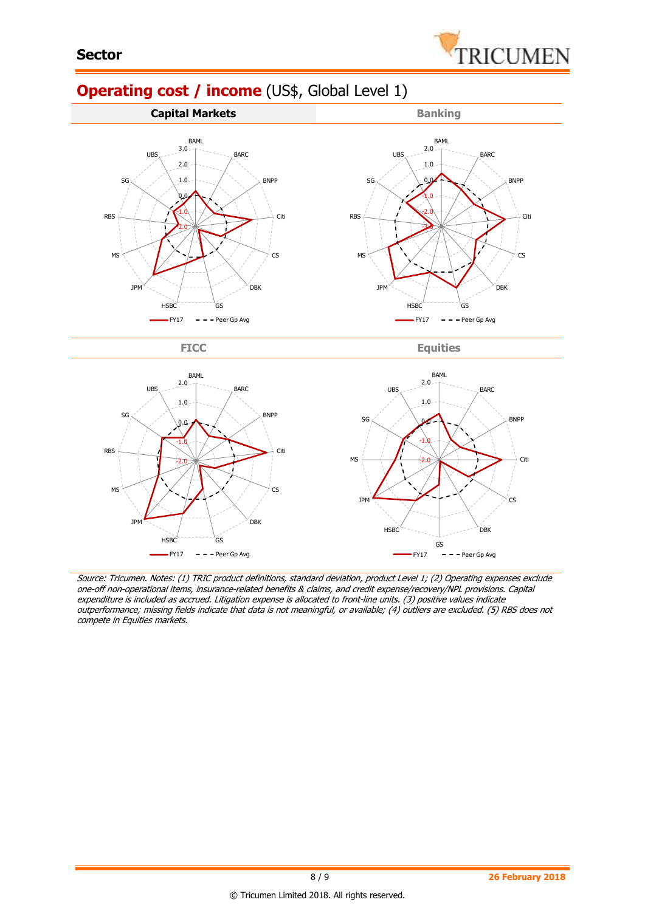

# **Operating cost / income** (US\$, Global Level 1)



FICC Equities



Source: Tricumen. Notes: (1) TRIC product definitions, standard deviation, product Level 1; (2) Operating expenses exclude one-off non-operational items, insurance-related benefits & claims, and credit expense/recovery/NPL provisions. Capital expenditure is included as accrued. Litigation expense is allocated to front-line units. (3) positive values indicate outperformance; missing fields indicate that data is not meaningful, or available; (4) outliers are excluded. (5) RBS does not compete in Equities markets.